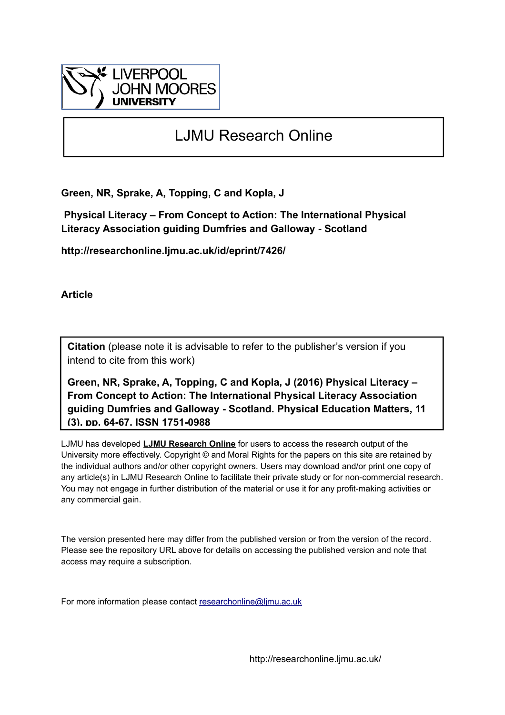

## LJMU Research Online

**Green, NR, Sprake, A, Topping, C and Kopla, J**

 **Physical Literacy – From Concept to Action: The International Physical Literacy Association guiding Dumfries and Galloway - Scotland**

**http://researchonline.ljmu.ac.uk/id/eprint/7426/**

**Article**

**Citation** (please note it is advisable to refer to the publisher's version if you intend to cite from this work)

**Green, NR, Sprake, A, Topping, C and Kopla, J (2016) Physical Literacy – From Concept to Action: The International Physical Literacy Association guiding Dumfries and Galloway - Scotland. Physical Education Matters, 11 (3). pp. 64-67. ISSN 1751-0988** 

LJMU has developed **[LJMU Research Online](http://researchonline.ljmu.ac.uk/)** for users to access the research output of the University more effectively. Copyright © and Moral Rights for the papers on this site are retained by the individual authors and/or other copyright owners. Users may download and/or print one copy of any article(s) in LJMU Research Online to facilitate their private study or for non-commercial research. You may not engage in further distribution of the material or use it for any profit-making activities or any commercial gain.

The version presented here may differ from the published version or from the version of the record. Please see the repository URL above for details on accessing the published version and note that access may require a subscription.

For more information please contact [researchonline@ljmu.ac.uk](mailto:researchonline@ljmu.ac.uk)

http://researchonline.ljmu.ac.uk/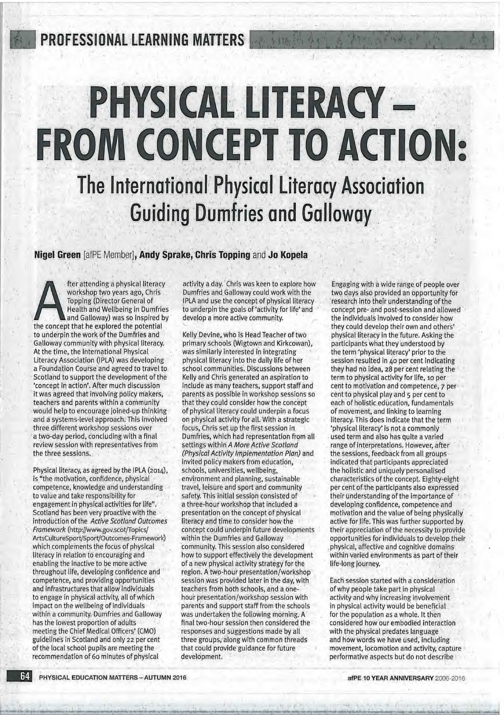**PROFESSIONAL LEARNING MATTERS** 

# **PHYSICAL LITERACY -FROM CONCEPT TO ACTION:** The International Physical Literacy Association **Guiding Dumfries and Galloway**

りもねてい

Nigel Green [afPE Member], Andy Sprake, Chris Topping and Jo Kopela

fter attending a physical literacy workshop two years ago, Chris **Topping (Director General of** Health and Wellbeing in Dumfries and Galloway) was so inspired by the concept that he explored the potential to underpin the work of the Dumfries and Galloway community with physical literacy. At the time, the International Physical Literacy Association (IPLA) was developing a Foundation Course and agreed to travel to Scotland to support the development of the 'concept in action'. After much discussion it was agreed that involving policy makers, teachers and parents within a community would help to encourage joined-up thinking and a systems-level approach. This involved three different workshop sessions over a two-day period, concluding with a final review session with representatives from the three sessions.

Physical literacy, as agreed by the IPLA (2014), is "the motivation, confidence, physical competence, knowledge and understanding to value and take responsibility for engagement in physical activities for life". Scotland has been very proactive with the introduction of the Active Scotland Outcomes Framework (http://www.gov.scot/Topics/ ArtsCultureSport/Sport/Outcomes-Framework) which complements the focus of physical literacy in relation to encouraging and enabling the inactive to be more active throughout life, developing confidence and competence, and providing opportunities and infrastructures that allow individuals to engage in physical activity, all of which impact on the wellbeing of individuals within a community. Dumfries and Galloway has the lowest proportion of adults meeting the Chief Medical Officers' (CMO) guidelines in Scotland and only 22 per cent of the local school pupils are meeting the recommendation of 60 minutes of physical

activity a day. Chris was keen to explore how Dumfries and Galloway could work with the IPLA and use the concept of physical literacy to underpin the goals of 'activity for life' and develop a more active community.

Kelly Devine, who is Head Teacher of two primary schools (Wigtown and Kirkcowan), was similarly interested in integrating physical literacy into the daily life of her school communities. Discussions between Kelly and Chris generated an aspiration to include as many teachers, support staff and parents as possible in workshop sessions so that they could consider how the concept of physical literacy could underpin a focus on physical activity for all. With a strategic focus, Chris set up the first session in Dumfries, which had representation from all settings within A More Active Scotland (Physical Activity Implementation Plan) and invited policy makers from education, schools, universities, wellbeing, environment and planning, sustainable travel, leisure and sport and community safety. This initial session consisted of a three-hour workshop that included a presentation on the concept of physical literacy and time to consider how the concept could underpin future developments within the Dumfries and Galloway community. This session also considered how to support effectively the development of a new physical activity strategy for the region. A two-hour presentation/workshop session was provided later in the day, with teachers from both schools, and a onehour presentation/workshop session with parents and support staff from the schools was undertaken the following morning. A final two-hour session then considered the responses and suggestions made by all three groups, along with common threads that could provide guidance for future development.

Engaging with a wide range of people over two days also provided an opportunity for research into their understanding of the concept pre- and post-session and allowed the individuals involved to consider how they could develop their own and others' physical literacy in the future. Asking the participants what they understood by the term 'physical literacy' prior to the session resulted in 40 per cent indicating they had no idea, 28 per cent relating the term to physical activity for life, 10 per cent to motivation and competence, 7 per cent to physical play and 5 per cent to each of holistic education, fundamentals of movement, and linking to learning literacy. This does indicate that the term 'physical literacy' is not a commonly used term and also has quite a varied range of interpretations. However, after the sessions, feedback from all groups indicated that participants appreciated the holistic and uniquely personalised characteristics of the concept. Eighty-eight per cent of the participants also expressed their understanding of the importance of developing confidence, competence and motivation and the value of being physically active for life. This was further supported by their appreciation of the necessity to provide opportunities for individuals to develop their physical, affective and cognitive domains within varied environments as part of their life-long journey.

Each session started with a consideration of why people take part in physical activity and why increasing involvement in physical activity would be beneficial for the population as a whole. It then considered how our embodied interaction with the physical predates language and how words we have used, including movement, locomotion and activity, capture performative aspects but do not describe

64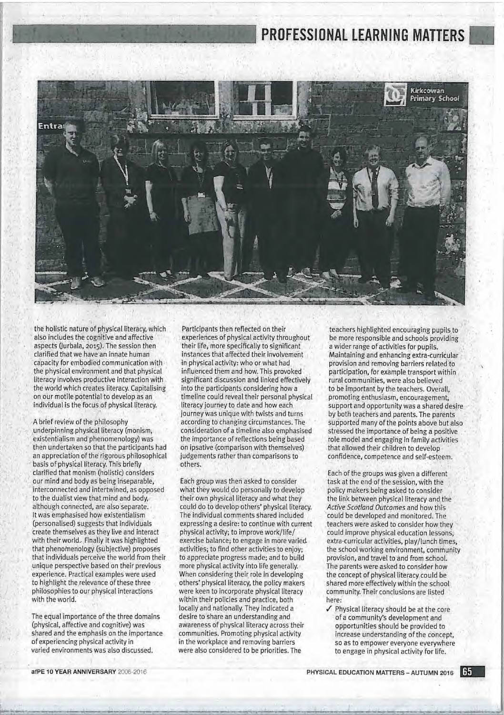# PROFESSIONAL LEARNING MATTERS



the holistic nature of physical literacy, which also includes the cognitive and affective aspects (Jurbala, 2015). The session then clarified that we have an innate human capacity for embodied communication with the physical environment and that physical literacy involves productive interaction with the world which creates literacy. Capitalising on our motile potential to develop as an individual is the focus of physical literacy.

A brief review of the philosophy underpinning physical literacy (monism, existentialism and phenomenology) was then undertaken so that the participants had an appreciation of the rigorous philosophical basis of physical literacy. This briefly clarified that monism (holistic) considers our mind and body as being inseparable, interconnected and intertwined, as opposed to the dualist view that mind and body, although connected, are also separate. It was emphasised how existentialism (personalised) suggests that individuals create themselves as they live and interact with their world. Finally it was highlighted that phenomenology (subjective) proposes that individuals perceive the world from their unique perspective based on their previous experience. Practical examples were used to highlight the relevance of these three philosophies to our physical interactions with the world.

The equal importance of the three domains (physical, affective and cognitive) was shared and the emphasis on the importance of experiencing physical activity in varied environments was also discussed.

Participants then reflected on their experiences of physical activity throughout their life, more specifically to significant instances that affected their involvement in physical activity: who or what had influenced them and how. This provoked significant discussion and linked effectively into the participants considering how a timeline could reveal their personal physical literacy journey to date and how each journey was unique with twists and turns according to changing circumstances. The consideration of a timeline also emphasised the importance of reflections being based on ipsative (comparison with themselves) judgements rather than comparisons to others.

Each group was then asked to consider what they would do personally to develop their own physical literacy and what they could do to develop others' physical literacy. The individual comments shared included expressing a desire: to continue with current physical activity; to improve work/life/ exercise balance; to engage in more varied. activities; to find other activities to enjoy; to appreciate progress made; and to build more physical activity into life generally. When considering their role in developing others' physical literacy, the policy makers were keen to incorporate physical literacy within their policies and practice, both locally and nationally. They indicated a desire to share an understanding and awareness of physical literacy across their communities. Promoting physical activity in the workplace and removing barriers were also considered to be priorities. The

teachers highlighted encouraging pupils to be more responsible and schools providing a wider range of activities for pupils. Maintaining and enhancing extra-curricular provision and removing barriers related to participation, for example transport within rural communities, were also believed to be important by the teachers. Overall, promoting enthusiasm, encouragement, support and opportunity was a shared desire by both teachers and parents. The parents supported many of the points above but also stressed the importance of being a positive role model and engaging in family activities that allowed their children to develop confidence, competence and self-esteem.

Each of the groups was given a different task at the end of the session, with the policy makers being asked to consider the link between physical literacy and the Active Scotland Outcomes and how this could be developed and monitored. The teachers were asked to consider how they could improve physical education lessons, extra-curricular activities, play/lunch times, the school working environment, community provision, and travel to and from school. The parents were asked to consider how the concept of physical literacy could be shared more effectively within the school community. Their conclusions are listed here:

√ Physical literacy should be at the core of a community's development and opportunities should be provided to increase understanding of the concept, so as to empower everyone everywhere to engage in physical activity for life.

65